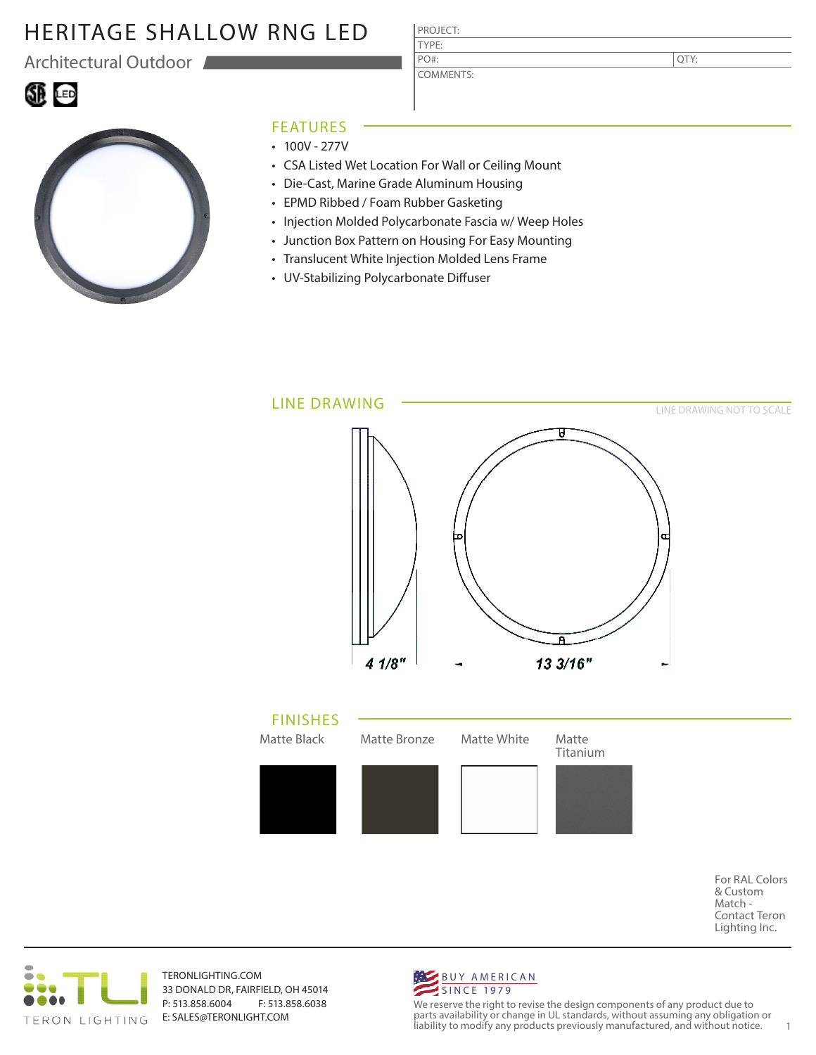# HERITAGE SHALLOW RNG LED

Architectural Outdoor

60 G

| ٠<br>M.<br>×<br>۰. | ٧ |  |
|--------------------|---|--|
|                    |   |  |

COMMENTS: PO#:

QTY:



### FEATURES

- $\cdot$  100V 277V
- CSA Listed Wet Location For Wall or Ceiling Mount
- Die-Cast, Marine Grade Aluminum Housing
- EPMD Ribbed / Foam Rubber Gasketing
- Injection Molded Polycarbonate Fascia w/ Weep Holes
- Junction Box Pattern on Housing For Easy Mounting
- Translucent White Injection Molded Lens Frame
- UV-Stabilizing Polycarbonate Diffuser



For RAL Colors & Custom Match - Contact Teron Lighting Inc.



TERONLIGHTING.COM 33 DONALD DR, FAIRFIELD, OH 45014 P: 513.858.6004 F: 513.858.6038 E: SALES@TERONLIGHT.COM



We reserve the right to revise the design components of any product due to parts availability or change in UL standards, without assuming any obligation or liability to modify any products previously manufactured, and without notice. 1